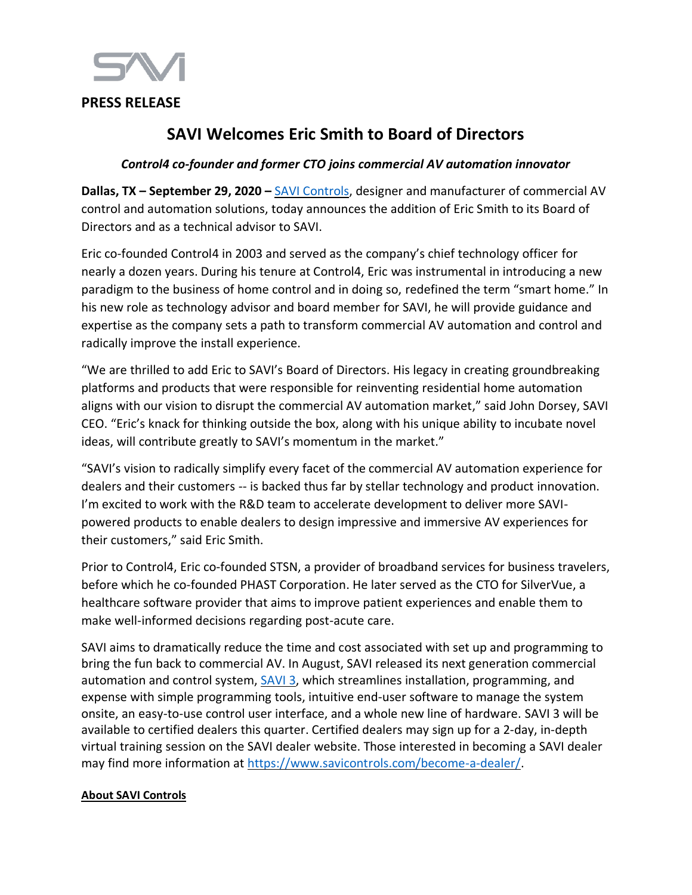

## **PRESS RELEASE**

# **SAVI Welcomes Eric Smith to Board of Directors**

## *Control4 co-founder and former CTO joins commercial AV automation innovator*

**Dallas, TX – September 29, 2020 –** [SAVI Controls,](http://www.hellosavi.com/) designer and manufacturer of commercial AV control and automation solutions, today announces the addition of Eric Smith to its Board of Directors and as a technical advisor to SAVI.

Eric co-founded Control4 in 2003 and served as the company's chief technology officer for nearly a dozen years. During his tenure at Control4, Eric was instrumental in introducing a new paradigm to the business of home control and in doing so, redefined the term "smart home." In his new role as technology advisor and board member for SAVI, he will provide guidance and expertise as the company sets a path to transform commercial AV automation and control and radically improve the install experience.

"We are thrilled to add Eric to SAVI's Board of Directors. His legacy in creating groundbreaking platforms and products that were responsible for reinventing residential home automation aligns with our vision to disrupt the commercial AV automation market," said John Dorsey, SAVI CEO. "Eric's knack for thinking outside the box, along with his unique ability to incubate novel ideas, will contribute greatly to SAVI's momentum in the market."

"SAVI's vision to radically simplify every facet of the commercial AV automation experience for dealers and their customers -- is backed thus far by stellar technology and product innovation. I'm excited to work with the R&D team to accelerate development to deliver more SAVIpowered products to enable dealers to design impressive and immersive AV experiences for their customers," said Eric Smith.

Prior to Control4, Eric co-founded STSN, a provider of broadband services for business travelers, before which he co-founded PHAST Corporation. He later served as the CTO for SilverVue, a healthcare software provider that aims to improve patient experiences and enable them to make well-informed decisions regarding post-acute care.

SAVI aims to dramatically reduce the time and cost associated with set up and programming to bring the fun back to commercial AV. In August, SAVI released its next generation commercial automation and control system,  $\underline{SAVI}$  3, which streamlines installation, programming, and expense with simple programming tools, intuitive end-user software to manage the system onsite, an easy-to-use control user interface, and a whole new line of hardware. SAVI 3 will be available to certified dealers this quarter. Certified dealers may sign up for a 2-day, in-depth virtual training session on the SAVI dealer website. Those interested in becoming a SAVI dealer may find more information at [https://www.savicontrols.com/become-a-dealer/.](https://www.savicontrols.com/become-a-dealer/)

#### **About SAVI Controls**